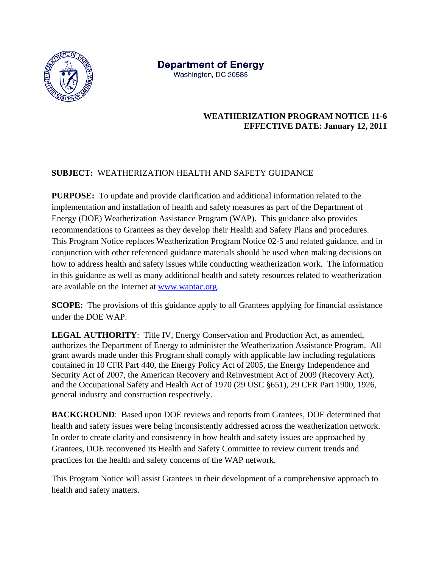

**Department of Energy** Washington, DC 20585

## **WEATHERIZATION PROGRAM NOTICE 11-6 EFFECTIVE DATE: January 12, 2011**

## **SUBJECT:** WEATHERIZATION HEALTH AND SAFETY GUIDANCE

**PURPOSE:** To update and provide clarification and additional information related to the implementation and installation of health and safety measures as part of the Department of Energy (DOE) Weatherization Assistance Program (WAP). This guidance also provides recommendations to Grantees as they develop their Health and Safety Plans and procedures. This Program Notice replaces Weatherization Program Notice 02-5 and related guidance, and in conjunction with other referenced guidance materials should be used when making decisions on how to address health and safety issues while conducting weatherization work. The information in this guidance as well as many additional health and safety resources related to weatherization are available on the Internet at www.waptac.org.

**SCOPE:** The provisions of this guidance apply to all Grantees applying for financial assistance under the DOE WAP.

**LEGAL AUTHORITY**: Title IV, Energy Conservation and Production Act, as amended, authorizes the Department of Energy to administer the Weatherization Assistance Program. All grant awards made under this Program shall comply with applicable law including regulations contained in 10 CFR Part 440, the Energy Policy Act of 2005, the Energy Independence and Security Act of 2007, the American Recovery and Reinvestment Act of 2009 (Recovery Act), and the Occupational Safety and Health Act of 1970 (29 USC §651), 29 CFR Part 1900, 1926, general industry and construction respectively.

**BACKGROUND:** Based upon DOE reviews and reports from Grantees, DOE determined that health and safety issues were being inconsistently addressed across the weatherization network. In order to create clarity and consistency in how health and safety issues are approached by Grantees, DOE reconvened its Health and Safety Committee to review current trends and practices for the health and safety concerns of the WAP network.

This Program Notice will assist Grantees in their development of a comprehensive approach to health and safety matters.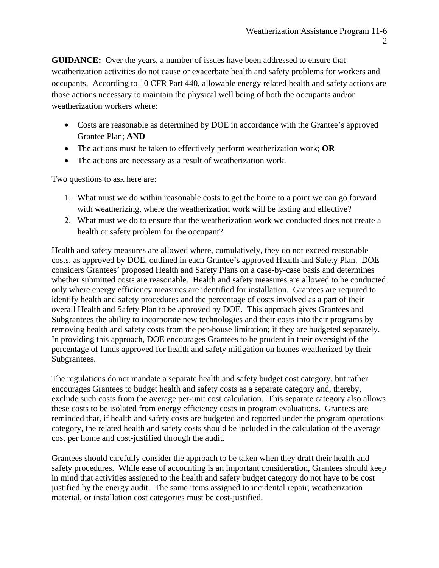**GUIDANCE:** Over the years, a number of issues have been addressed to ensure that weatherization activities do not cause or exacerbate health and safety problems for workers and occupants. According to 10 CFR Part 440, allowable energy related health and safety actions are those actions necessary to maintain the physical well being of both the occupants and/or weatherization workers where:

- Costs are reasonable as determined by DOE in accordance with the Grantee's approved Grantee Plan; **AND**
- The actions must be taken to effectively perform weatherization work; **OR**
- The actions are necessary as a result of weatherization work.

Two questions to ask here are:

- 1. What must we do within reasonable costs to get the home to a point we can go forward with weatherizing, where the weatherization work will be lasting and effective?
- 2. What must we do to ensure that the weatherization work we conducted does not create a health or safety problem for the occupant?

Health and safety measures are allowed where, cumulatively, they do not exceed reasonable costs, as approved by DOE, outlined in each Grantee's approved Health and Safety Plan. DOE considers Grantees' proposed Health and Safety Plans on a case-by-case basis and determines whether submitted costs are reasonable. Health and safety measures are allowed to be conducted only where energy efficiency measures are identified for installation. Grantees are required to identify health and safety procedures and the percentage of costs involved as a part of their overall Health and Safety Plan to be approved by DOE. This approach gives Grantees and Subgrantees the ability to incorporate new technologies and their costs into their programs by removing health and safety costs from the per-house limitation; if they are budgeted separately. In providing this approach, DOE encourages Grantees to be prudent in their oversight of the percentage of funds approved for health and safety mitigation on homes weatherized by their Subgrantees.

The regulations do not mandate a separate health and safety budget cost category, but rather encourages Grantees to budget health and safety costs as a separate category and, thereby, exclude such costs from the average per-unit cost calculation. This separate category also allows these costs to be isolated from energy efficiency costs in program evaluations. Grantees are reminded that, if health and safety costs are budgeted and reported under the program operations category, the related health and safety costs should be included in the calculation of the average cost per home and cost-justified through the audit.

Grantees should carefully consider the approach to be taken when they draft their health and safety procedures. While ease of accounting is an important consideration, Grantees should keep in mind that activities assigned to the health and safety budget category do not have to be cost justified by the energy audit. The same items assigned to incidental repair, weatherization material, or installation cost categories must be cost-justified.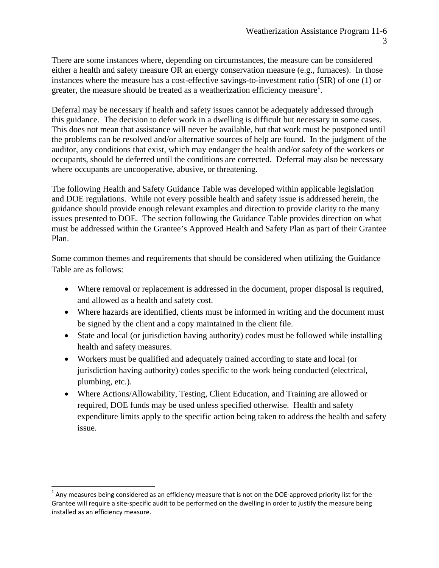There are some instances where, depending on circumstances, the measure can be considered either a health and safety measure OR an energy conservation measure (e.g., furnaces). In those instances where the measure has a cost-effective savings-to-investment ratio (SIR) of one (1) or greater, the measure should be treated as a weatherization efficiency measure<sup>1</sup>.

Deferral may be necessary if health and safety issues cannot be adequately addressed through this guidance. The decision to defer work in a dwelling is difficult but necessary in some cases. This does not mean that assistance will never be available, but that work must be postponed until the problems can be resolved and/or alternative sources of help are found. In the judgment of the auditor, any conditions that exist, which may endanger the health and/or safety of the workers or occupants, should be deferred until the conditions are corrected. Deferral may also be necessary where occupants are uncooperative, abusive, or threatening.

The following Health and Safety Guidance Table was developed within applicable legislation and DOE regulations. While not every possible health and safety issue is addressed herein, the guidance should provide enough relevant examples and direction to provide clarity to the many issues presented to DOE. The section following the Guidance Table provides direction on what must be addressed within the Grantee's Approved Health and Safety Plan as part of their Grantee Plan.

Some common themes and requirements that should be considered when utilizing the Guidance Table are as follows:

- Where removal or replacement is addressed in the document, proper disposal is required, and allowed as a health and safety cost.
- Where hazards are identified, clients must be informed in writing and the document must be signed by the client and a copy maintained in the client file.
- State and local (or jurisdiction having authority) codes must be followed while installing health and safety measures.
- Workers must be qualified and adequately trained according to state and local (or jurisdiction having authority) codes specific to the work being conducted (electrical, plumbing, etc.).
- Where Actions/Allowability, Testing, Client Education, and Training are allowed or required, DOE funds may be used unless specified otherwise. Health and safety expenditure limits apply to the specific action being taken to address the health and safety issue.

 $1$  Any measures being considered as an efficiency measure that is not on the DOE-approved priority list for the Grantee will require a site‐specific audit to be performed on the dwelling in order to justify the measure being installed as an efficiency measure.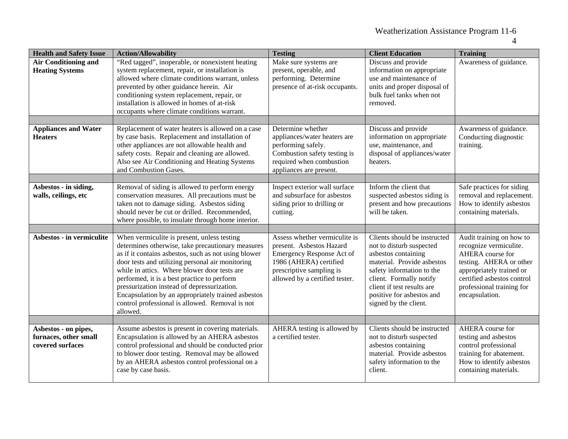| <b>Health and Safety Issue</b>                                    | <b>Action/Allowability</b>                                                                                                                                                                                                                                                                                                                                                                                                                                                      | <b>Testing</b>                                                                                                                                                                 | <b>Client Education</b>                                                                                                                                                                                                                                   | <b>Training</b>                                                                                                                                                                                            |
|-------------------------------------------------------------------|---------------------------------------------------------------------------------------------------------------------------------------------------------------------------------------------------------------------------------------------------------------------------------------------------------------------------------------------------------------------------------------------------------------------------------------------------------------------------------|--------------------------------------------------------------------------------------------------------------------------------------------------------------------------------|-----------------------------------------------------------------------------------------------------------------------------------------------------------------------------------------------------------------------------------------------------------|------------------------------------------------------------------------------------------------------------------------------------------------------------------------------------------------------------|
| <b>Air Conditioning and</b><br><b>Heating Systems</b>             | "Red tagged", inoperable, or nonexistent heating<br>system replacement, repair, or installation is<br>allowed where climate conditions warrant, unless<br>prevented by other guidance herein. Air<br>conditioning system replacement, repair, or<br>installation is allowed in homes of at-risk<br>occupants where climate conditions warrant.                                                                                                                                  | Make sure systems are<br>present, operable, and<br>performing. Determine<br>presence of at-risk occupants.                                                                     | Discuss and provide<br>information on appropriate<br>use and maintenance of<br>units and proper disposal of<br>bulk fuel tanks when not<br>removed.                                                                                                       | Awareness of guidance.                                                                                                                                                                                     |
|                                                                   |                                                                                                                                                                                                                                                                                                                                                                                                                                                                                 |                                                                                                                                                                                |                                                                                                                                                                                                                                                           |                                                                                                                                                                                                            |
| <b>Appliances and Water</b><br><b>Heaters</b>                     | Replacement of water heaters is allowed on a case<br>by case basis. Replacement and installation of<br>other appliances are not allowable health and<br>safety costs. Repair and cleaning are allowed.<br>Also see Air Conditioning and Heating Systems<br>and Combustion Gases.                                                                                                                                                                                                | Determine whether<br>appliances/water heaters are<br>performing safely.<br>Combustion safety testing is<br>required when combustion<br>appliances are present.                 | Discuss and provide<br>information on appropriate<br>use, maintenance, and<br>disposal of appliances/water<br>heaters.                                                                                                                                    | Awareness of guidance.<br>Conducting diagnostic<br>training.                                                                                                                                               |
|                                                                   |                                                                                                                                                                                                                                                                                                                                                                                                                                                                                 |                                                                                                                                                                                |                                                                                                                                                                                                                                                           |                                                                                                                                                                                                            |
| Asbestos - in siding,<br>walls, ceilings, etc                     | Removal of siding is allowed to perform energy<br>conservation measures. All precautions must be<br>taken not to damage siding. Asbestos siding<br>should never be cut or drilled. Recommended,<br>where possible, to insulate through home interior.                                                                                                                                                                                                                           | Inspect exterior wall surface<br>and subsurface for asbestos<br>siding prior to drilling or<br>cutting.                                                                        | Inform the client that<br>suspected asbestos siding is<br>present and how precautions<br>will be taken.                                                                                                                                                   | Safe practices for siding<br>removal and replacement.<br>How to identify asbestos<br>containing materials.                                                                                                 |
|                                                                   |                                                                                                                                                                                                                                                                                                                                                                                                                                                                                 |                                                                                                                                                                                |                                                                                                                                                                                                                                                           |                                                                                                                                                                                                            |
| Asbestos - in vermiculite                                         | When vermiculite is present, unless testing<br>determines otherwise, take precautionary measures<br>as if it contains asbestos, such as not using blower<br>door tests and utilizing personal air monitoring<br>while in attics. Where blower door tests are<br>performed, it is a best practice to perform<br>pressurization instead of depressurization.<br>Encapsulation by an appropriately trained asbestos<br>control professional is allowed. Removal is not<br>allowed. | Assess whether vermiculite is<br>present. Asbestos Hazard<br>Emergency Response Act of<br>1986 (AHERA) certified<br>prescriptive sampling is<br>allowed by a certified tester. | Clients should be instructed<br>not to disturb suspected<br>asbestos containing<br>material. Provide asbestos<br>safety information to the<br>client. Formally notify<br>client if test results are<br>positive for asbestos and<br>signed by the client. | Audit training on how to<br>recognize vermiculite.<br>AHERA course for<br>testing. AHERA or other<br>appropriately trained or<br>certified asbestos control<br>professional training for<br>encapsulation. |
|                                                                   |                                                                                                                                                                                                                                                                                                                                                                                                                                                                                 |                                                                                                                                                                                |                                                                                                                                                                                                                                                           |                                                                                                                                                                                                            |
| Asbestos - on pipes,<br>furnaces, other small<br>covered surfaces | Assume asbestos is present in covering materials.<br>Encapsulation is allowed by an AHERA asbestos<br>control professional and should be conducted prior<br>to blower door testing. Removal may be allowed<br>by an AHERA asbestos control professional on a<br>case by case basis.                                                                                                                                                                                             | AHERA testing is allowed by<br>a certified tester.                                                                                                                             | Clients should be instructed<br>not to disturb suspected<br>asbestos containing<br>material. Provide asbestos<br>safety information to the<br>client.                                                                                                     | AHERA course for<br>testing and asbestos<br>control professional<br>training for abatement.<br>How to identify asbestos<br>containing materials.                                                           |

4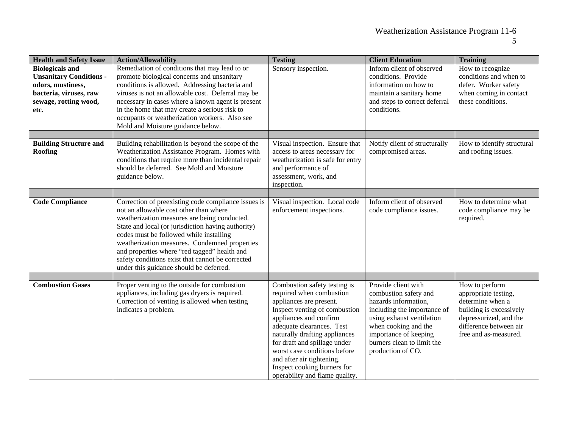| <b>Health and Safety Issue</b>                                                                                                           | <b>Action/Allowability</b>                                                                                                                                                                                                                                                                                                                                                                                                                     | <b>Testing</b>                                                                                                                                                                                                                                                                                                                                                             | <b>Client Education</b>                                                                                                                                                                                                              | <b>Training</b>                                                                                                                                                    |
|------------------------------------------------------------------------------------------------------------------------------------------|------------------------------------------------------------------------------------------------------------------------------------------------------------------------------------------------------------------------------------------------------------------------------------------------------------------------------------------------------------------------------------------------------------------------------------------------|----------------------------------------------------------------------------------------------------------------------------------------------------------------------------------------------------------------------------------------------------------------------------------------------------------------------------------------------------------------------------|--------------------------------------------------------------------------------------------------------------------------------------------------------------------------------------------------------------------------------------|--------------------------------------------------------------------------------------------------------------------------------------------------------------------|
| <b>Biologicals and</b><br><b>Unsanitary Conditions -</b><br>odors, mustiness,<br>bacteria, viruses, raw<br>sewage, rotting wood,<br>etc. | Remediation of conditions that may lead to or<br>promote biological concerns and unsanitary<br>conditions is allowed. Addressing bacteria and<br>viruses is not an allowable cost. Deferral may be<br>necessary in cases where a known agent is present<br>in the home that may create a serious risk to<br>occupants or weatherization workers. Also see<br>Mold and Moisture guidance below.                                                 | Sensory inspection.                                                                                                                                                                                                                                                                                                                                                        | Inform client of observed<br>conditions. Provide<br>information on how to<br>maintain a sanitary home<br>and steps to correct deferral<br>conditions.                                                                                | How to recognize<br>conditions and when to<br>defer. Worker safety<br>when coming in contact<br>these conditions.                                                  |
| <b>Building Structure and</b><br>Roofing                                                                                                 | Building rehabilitation is beyond the scope of the<br>Weatherization Assistance Program. Homes with<br>conditions that require more than incidental repair<br>should be deferred. See Mold and Moisture<br>guidance below.                                                                                                                                                                                                                     | Visual inspection. Ensure that<br>access to areas necessary for<br>weatherization is safe for entry<br>and performance of<br>assessment, work, and<br>inspection.                                                                                                                                                                                                          | Notify client of structurally<br>compromised areas.                                                                                                                                                                                  | How to identify structural<br>and roofing issues.                                                                                                                  |
| <b>Code Compliance</b>                                                                                                                   | Correction of preexisting code compliance issues is<br>not an allowable cost other than where<br>weatherization measures are being conducted.<br>State and local (or jurisdiction having authority)<br>codes must be followed while installing<br>weatherization measures. Condemned properties<br>and properties where "red tagged" health and<br>safety conditions exist that cannot be corrected<br>under this guidance should be deferred. | Visual inspection. Local code<br>enforcement inspections.                                                                                                                                                                                                                                                                                                                  | Inform client of observed<br>code compliance issues.                                                                                                                                                                                 | How to determine what<br>code compliance may be<br>required.                                                                                                       |
| <b>Combustion Gases</b>                                                                                                                  | Proper venting to the outside for combustion<br>appliances, including gas dryers is required.<br>Correction of venting is allowed when testing<br>indicates a problem.                                                                                                                                                                                                                                                                         | Combustion safety testing is<br>required when combustion<br>appliances are present.<br>Inspect venting of combustion<br>appliances and confirm<br>adequate clearances. Test<br>naturally drafting appliances<br>for draft and spillage under<br>worst case conditions before<br>and after air tightening.<br>Inspect cooking burners for<br>operability and flame quality. | Provide client with<br>combustion safety and<br>hazards information,<br>including the importance of<br>using exhaust ventilation<br>when cooking and the<br>importance of keeping<br>burners clean to limit the<br>production of CO. | How to perform<br>appropriate testing,<br>determine when a<br>building is excessively<br>depressurized, and the<br>difference between air<br>free and as-measured. |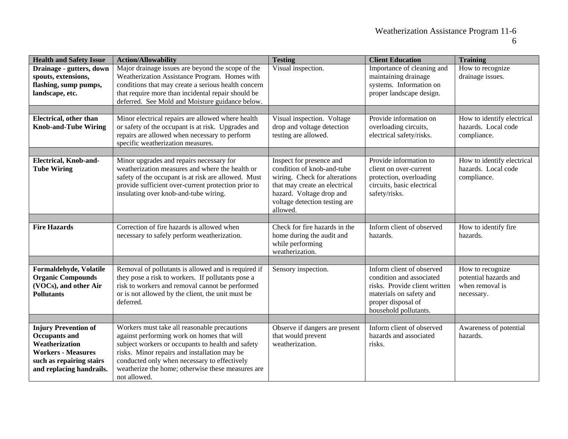| <b>Health and Safety Issue</b>                                                                                                                             | <b>Action/Allowability</b>                                                                                                                                                                                                                                                                                           | <b>Testing</b>                                                                                                                                                                                    | <b>Client Education</b>                                                                                                                                          | <b>Training</b>                                                            |
|------------------------------------------------------------------------------------------------------------------------------------------------------------|----------------------------------------------------------------------------------------------------------------------------------------------------------------------------------------------------------------------------------------------------------------------------------------------------------------------|---------------------------------------------------------------------------------------------------------------------------------------------------------------------------------------------------|------------------------------------------------------------------------------------------------------------------------------------------------------------------|----------------------------------------------------------------------------|
| Drainage - gutters, down<br>spouts, extensions,<br>flashing, sump pumps,<br>landscape, etc.                                                                | Major drainage issues are beyond the scope of the<br>Weatherization Assistance Program. Homes with<br>conditions that may create a serious health concern<br>that require more than incidental repair should be<br>deferred. See Mold and Moisture guidance below.                                                   | Visual inspection.                                                                                                                                                                                | Importance of cleaning and<br>maintaining drainage<br>systems. Information on<br>proper landscape design.                                                        | How to recognize<br>drainage issues.                                       |
|                                                                                                                                                            |                                                                                                                                                                                                                                                                                                                      |                                                                                                                                                                                                   |                                                                                                                                                                  |                                                                            |
| <b>Electrical</b> , other than<br><b>Knob-and-Tube Wiring</b>                                                                                              | Minor electrical repairs are allowed where health<br>or safety of the occupant is at risk. Upgrades and<br>repairs are allowed when necessary to perform<br>specific weatherization measures.                                                                                                                        | Visual inspection. Voltage<br>drop and voltage detection<br>testing are allowed.                                                                                                                  | Provide information on<br>overloading circuits,<br>electrical safety/risks.                                                                                      | How to identify electrical<br>hazards. Local code<br>compliance.           |
|                                                                                                                                                            |                                                                                                                                                                                                                                                                                                                      |                                                                                                                                                                                                   |                                                                                                                                                                  |                                                                            |
| <b>Electrical, Knob-and-</b><br><b>Tube Wiring</b>                                                                                                         | Minor upgrades and repairs necessary for<br>weatherization measures and where the health or<br>safety of the occupant is at risk are allowed. Must<br>provide sufficient over-current protection prior to<br>insulating over knob-and-tube wiring.                                                                   | Inspect for presence and<br>condition of knob-and-tube<br>wiring. Check for alterations<br>that may create an electrical<br>hazard. Voltage drop and<br>voltage detection testing are<br>allowed. | Provide information to<br>client on over-current<br>protection, overloading<br>circuits, basic electrical<br>safety/risks.                                       | How to identify electrical<br>hazards. Local code<br>compliance.           |
|                                                                                                                                                            |                                                                                                                                                                                                                                                                                                                      |                                                                                                                                                                                                   |                                                                                                                                                                  |                                                                            |
| <b>Fire Hazards</b>                                                                                                                                        | Correction of fire hazards is allowed when<br>necessary to safely perform weatherization.                                                                                                                                                                                                                            | Check for fire hazards in the<br>home during the audit and<br>while performing<br>weatherization.                                                                                                 | Inform client of observed<br>hazards.                                                                                                                            | How to identify fire<br>hazards.                                           |
|                                                                                                                                                            |                                                                                                                                                                                                                                                                                                                      |                                                                                                                                                                                                   |                                                                                                                                                                  |                                                                            |
| Formaldehyde, Volatile<br><b>Organic Compounds</b><br>(VOCs), and other Air<br><b>Pollutants</b>                                                           | Removal of pollutants is allowed and is required if<br>they pose a risk to workers. If pollutants pose a<br>risk to workers and removal cannot be performed<br>or is not allowed by the client, the unit must be<br>deferred.                                                                                        | Sensory inspection.                                                                                                                                                                               | Inform client of observed<br>condition and associated<br>risks. Provide client written<br>materials on safety and<br>proper disposal of<br>household pollutants. | How to recognize<br>potential hazards and<br>when removal is<br>necessary. |
|                                                                                                                                                            |                                                                                                                                                                                                                                                                                                                      |                                                                                                                                                                                                   |                                                                                                                                                                  |                                                                            |
| <b>Injury Prevention of</b><br><b>Occupants and</b><br>Weatherization<br><b>Workers - Measures</b><br>such as repairing stairs<br>and replacing handrails. | Workers must take all reasonable precautions<br>against performing work on homes that will<br>subject workers or occupants to health and safety<br>risks. Minor repairs and installation may be<br>conducted only when necessary to effectively<br>weatherize the home; otherwise these measures are<br>not allowed. | Observe if dangers are present<br>that would prevent<br>weatherization.                                                                                                                           | Inform client of observed<br>hazards and associated<br>risks.                                                                                                    | Awareness of potential<br>hazards.                                         |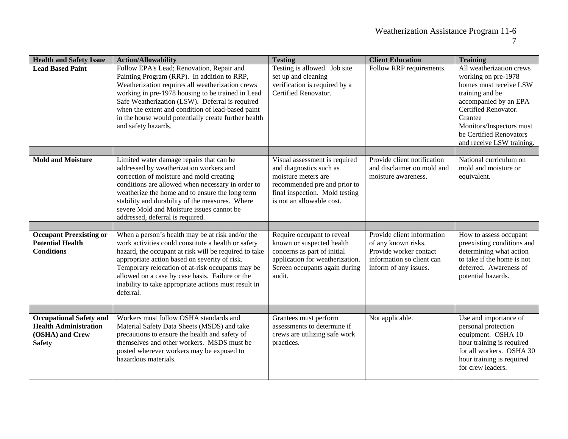| <b>Health and Safety Issue</b>                                                                     | <b>Action/Allowability</b>                                                                                                                                                                                                                                                                                                                                                                    | <b>Testing</b>                                                                                                                                                                 | <b>Client Education</b>                                                                                                           | <b>Training</b>                                                                                                                                                                                                                              |
|----------------------------------------------------------------------------------------------------|-----------------------------------------------------------------------------------------------------------------------------------------------------------------------------------------------------------------------------------------------------------------------------------------------------------------------------------------------------------------------------------------------|--------------------------------------------------------------------------------------------------------------------------------------------------------------------------------|-----------------------------------------------------------------------------------------------------------------------------------|----------------------------------------------------------------------------------------------------------------------------------------------------------------------------------------------------------------------------------------------|
| <b>Lead Based Paint</b>                                                                            | Follow EPA's Lead; Renovation, Repair and<br>Painting Program (RRP). In addition to RRP,<br>Weatherization requires all weatherization crews<br>working in pre-1978 housing to be trained in Lead<br>Safe Weatherization (LSW). Deferral is required<br>when the extent and condition of lead-based paint<br>in the house would potentially create further health<br>and safety hazards.      | Testing is allowed. Job site<br>set up and cleaning<br>verification is required by a<br>Certified Renovator.                                                                   | Follow RRP requirements.                                                                                                          | All weatherization crews<br>working on pre-1978<br>homes must receive LSW<br>training and be<br>accompanied by an EPA<br>Certified Renovator.<br>Grantee<br>Monitors/Inspectors must<br>be Certified Renovators<br>and receive LSW training. |
| <b>Mold and Moisture</b>                                                                           |                                                                                                                                                                                                                                                                                                                                                                                               |                                                                                                                                                                                | Provide client notification                                                                                                       | National curriculum on                                                                                                                                                                                                                       |
|                                                                                                    | Limited water damage repairs that can be<br>addressed by weatherization workers and<br>correction of moisture and mold creating<br>conditions are allowed when necessary in order to<br>weatherize the home and to ensure the long term<br>stability and durability of the measures. Where<br>severe Mold and Moisture issues cannot be<br>addressed, deferral is required.                   | Visual assessment is required<br>and diagnostics such as<br>moisture meters are<br>recommended pre and prior to<br>final inspection. Mold testing<br>is not an allowable cost. | and disclaimer on mold and<br>moisture awareness.                                                                                 | mold and moisture or<br>equivalent.                                                                                                                                                                                                          |
|                                                                                                    |                                                                                                                                                                                                                                                                                                                                                                                               |                                                                                                                                                                                |                                                                                                                                   |                                                                                                                                                                                                                                              |
| <b>Occupant Preexisting or</b><br><b>Potential Health</b><br><b>Conditions</b>                     | When a person's health may be at risk and/or the<br>work activities could constitute a health or safety<br>hazard, the occupant at risk will be required to take<br>appropriate action based on severity of risk.<br>Temporary relocation of at-risk occupants may be<br>allowed on a case by case basis. Failure or the<br>inability to take appropriate actions must result in<br>deferral. | Require occupant to reveal<br>known or suspected health<br>concerns as part of initial<br>application for weatherization.<br>Screen occupants again during<br>audit.           | Provide client information<br>of any known risks.<br>Provide worker contact<br>information so client can<br>inform of any issues. | How to assess occupant<br>preexisting conditions and<br>determining what action<br>to take if the home is not<br>deferred. Awareness of<br>potential hazards.                                                                                |
|                                                                                                    |                                                                                                                                                                                                                                                                                                                                                                                               |                                                                                                                                                                                |                                                                                                                                   |                                                                                                                                                                                                                                              |
| <b>Occupational Safety and</b><br><b>Health Administration</b><br>(OSHA) and Crew<br><b>Safety</b> | Workers must follow OSHA standards and<br>Material Safety Data Sheets (MSDS) and take<br>precautions to ensure the health and safety of<br>themselves and other workers. MSDS must be<br>posted wherever workers may be exposed to<br>hazardous materials.                                                                                                                                    | Grantees must perform<br>assessments to determine if<br>crews are utilizing safe work<br>practices.                                                                            | Not applicable.                                                                                                                   | Use and importance of<br>personal protection<br>equipment. OSHA 10<br>hour training is required<br>for all workers. OSHA 30<br>hour training is required<br>for crew leaders.                                                                |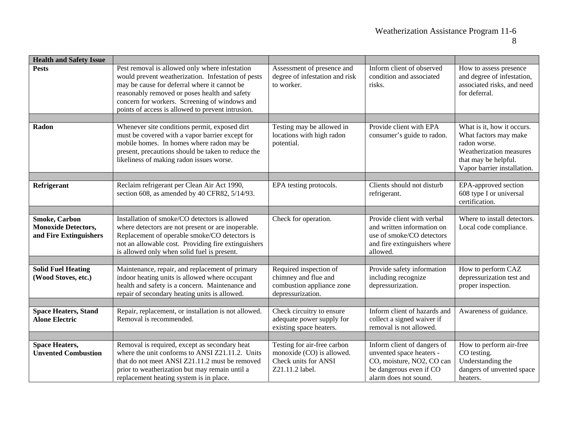| <b>Health and Safety Issue</b>                                               |                                                                                                                                                                                                                                                                                                             |                                                                                                     |                                                                                                                                          |                                                                                                                                                       |
|------------------------------------------------------------------------------|-------------------------------------------------------------------------------------------------------------------------------------------------------------------------------------------------------------------------------------------------------------------------------------------------------------|-----------------------------------------------------------------------------------------------------|------------------------------------------------------------------------------------------------------------------------------------------|-------------------------------------------------------------------------------------------------------------------------------------------------------|
| <b>Pests</b>                                                                 | Pest removal is allowed only where infestation<br>would prevent weatherization. Infestation of pests<br>may be cause for deferral where it cannot be<br>reasonably removed or poses health and safety<br>concern for workers. Screening of windows and<br>points of access is allowed to prevent intrusion. | Assessment of presence and<br>degree of infestation and risk<br>to worker.                          | Inform client of observed<br>condition and associated<br>risks.                                                                          | How to assess presence<br>and degree of infestation,<br>associated risks, and need<br>for deferral.                                                   |
|                                                                              |                                                                                                                                                                                                                                                                                                             |                                                                                                     |                                                                                                                                          |                                                                                                                                                       |
| Radon                                                                        | Whenever site conditions permit, exposed dirt<br>must be covered with a vapor barrier except for<br>mobile homes. In homes where radon may be<br>present, precautions should be taken to reduce the<br>likeliness of making radon issues worse.                                                             | Testing may be allowed in<br>locations with high radon<br>potential.                                | Provide client with EPA<br>consumer's guide to radon.                                                                                    | What is it, how it occurs.<br>What factors may make<br>radon worse.<br>Weatherization measures<br>that may be helpful.<br>Vapor barrier installation. |
|                                                                              |                                                                                                                                                                                                                                                                                                             |                                                                                                     |                                                                                                                                          |                                                                                                                                                       |
| Refrigerant                                                                  | Reclaim refrigerant per Clean Air Act 1990,<br>section 608, as amended by 40 CFR82, 5/14/93.                                                                                                                                                                                                                | EPA testing protocols.                                                                              | Clients should not disturb<br>refrigerant.                                                                                               | EPA-approved section<br>608 type I or universal<br>certification.                                                                                     |
|                                                                              |                                                                                                                                                                                                                                                                                                             |                                                                                                     |                                                                                                                                          |                                                                                                                                                       |
| <b>Smoke, Carbon</b><br><b>Monoxide Detectors,</b><br>and Fire Extinguishers | Installation of smoke/CO detectors is allowed<br>where detectors are not present or are inoperable.<br>Replacement of operable smoke/CO detectors is<br>not an allowable cost. Providing fire extinguishers<br>is allowed only when solid fuel is present.                                                  | Check for operation.                                                                                | Provide client with verbal<br>and written information on<br>use of smoke/CO detectors<br>and fire extinguishers where<br>allowed.        | Where to install detectors.<br>Local code compliance.                                                                                                 |
|                                                                              |                                                                                                                                                                                                                                                                                                             |                                                                                                     |                                                                                                                                          |                                                                                                                                                       |
| <b>Solid Fuel Heating</b><br>(Wood Stoves, etc.)                             | Maintenance, repair, and replacement of primary<br>indoor heating units is allowed where occupant<br>health and safety is a concern. Maintenance and<br>repair of secondary heating units is allowed.                                                                                                       | Required inspection of<br>chimney and flue and<br>combustion appliance zone<br>depressurization.    | Provide safety information<br>including recognize<br>depressurization.                                                                   | How to perform CAZ<br>depressurization test and<br>proper inspection.                                                                                 |
|                                                                              |                                                                                                                                                                                                                                                                                                             |                                                                                                     |                                                                                                                                          |                                                                                                                                                       |
| <b>Space Heaters, Stand</b><br><b>Alone Electric</b>                         | Repair, replacement, or installation is not allowed.<br>Removal is recommended.                                                                                                                                                                                                                             | Check circuitry to ensure<br>adequate power supply for<br>existing space heaters.                   | Inform client of hazards and<br>collect a signed waiver if<br>removal is not allowed.                                                    | Awareness of guidance.                                                                                                                                |
|                                                                              | Removal is required, except as secondary heat                                                                                                                                                                                                                                                               |                                                                                                     |                                                                                                                                          |                                                                                                                                                       |
| <b>Space Heaters,</b><br><b>Unvented Combustion</b>                          | where the unit conforms to ANSI Z21.11.2. Units<br>that do not meet ANSI Z21.11.2 must be removed<br>prior to weatherization but may remain until a<br>replacement heating system is in place.                                                                                                              | Testing for air-free carbon<br>monoxide (CO) is allowed.<br>Check units for ANSI<br>Z21.11.2 label. | Inform client of dangers of<br>unvented space heaters -<br>CO, moisture, NO2, CO can<br>be dangerous even if CO<br>alarm does not sound. | How to perform air-free<br>CO testing.<br>Understanding the<br>dangers of unvented space<br>heaters.                                                  |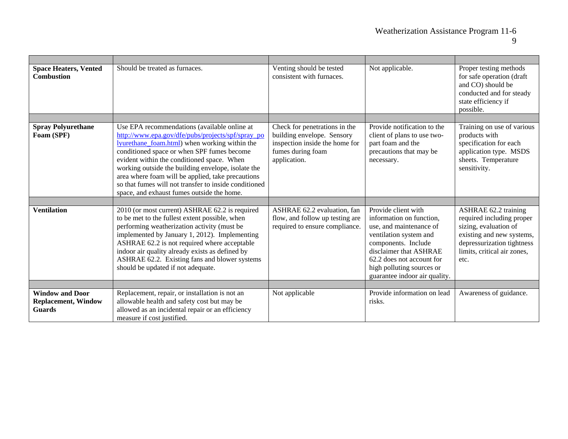| <b>Space Heaters, Vented</b><br><b>Combustion</b>                     | Should be treated as furnaces.                                                                                                                                                                                                                                                                                                                                                                                                                                   | Venting should be tested<br>consistent with furnaces.                                                                              | Not applicable.                                                                                                                                                                                                                                  | Proper testing methods<br>for safe operation (draft<br>and CO) should be<br>conducted and for steady<br>state efficiency if<br>possible.                                            |
|-----------------------------------------------------------------------|------------------------------------------------------------------------------------------------------------------------------------------------------------------------------------------------------------------------------------------------------------------------------------------------------------------------------------------------------------------------------------------------------------------------------------------------------------------|------------------------------------------------------------------------------------------------------------------------------------|--------------------------------------------------------------------------------------------------------------------------------------------------------------------------------------------------------------------------------------------------|-------------------------------------------------------------------------------------------------------------------------------------------------------------------------------------|
|                                                                       |                                                                                                                                                                                                                                                                                                                                                                                                                                                                  |                                                                                                                                    |                                                                                                                                                                                                                                                  |                                                                                                                                                                                     |
| <b>Spray Polyurethane</b><br>Foam (SPF)                               | Use EPA recommendations (available online at<br>http://www.epa.gov/dfe/pubs/projects/spf/spray_po<br>lyurethane foam.html) when working within the<br>conditioned space or when SPF fumes become<br>evident within the conditioned space. When<br>working outside the building envelope, isolate the<br>area where foam will be applied, take precautions<br>so that fumes will not transfer to inside conditioned<br>space, and exhaust fumes outside the home. | Check for penetrations in the<br>building envelope. Sensory<br>inspection inside the home for<br>fumes during foam<br>application. | Provide notification to the<br>client of plans to use two-<br>part foam and the<br>precautions that may be<br>necessary.                                                                                                                         | Training on use of various<br>products with<br>specification for each<br>application type. MSDS<br>sheets. Temperature<br>sensitivity.                                              |
|                                                                       |                                                                                                                                                                                                                                                                                                                                                                                                                                                                  |                                                                                                                                    |                                                                                                                                                                                                                                                  |                                                                                                                                                                                     |
| <b>Ventilation</b>                                                    | 2010 (or most current) ASHRAE 62.2 is required<br>to be met to the fullest extent possible, when<br>performing weatherization activity (must be<br>implemented by January 1, 2012). Implementing<br>ASHRAE 62.2 is not required where acceptable<br>indoor air quality already exists as defined by<br>ASHRAE 62.2. Existing fans and blower systems<br>should be updated if not adequate.                                                                       | ASHRAE 62.2 evaluation, fan<br>flow, and follow up testing are<br>required to ensure compliance.                                   | Provide client with<br>information on function,<br>use, and maintenance of<br>ventilation system and<br>components. Include<br>disclaimer that ASHRAE<br>62.2 does not account for<br>high polluting sources or<br>guarantee indoor air quality. | <b>ASHRAE 62.2 training</b><br>required including proper<br>sizing, evaluation of<br>existing and new systems,<br>depressurization tightness<br>limits, critical air zones,<br>etc. |
|                                                                       |                                                                                                                                                                                                                                                                                                                                                                                                                                                                  |                                                                                                                                    |                                                                                                                                                                                                                                                  |                                                                                                                                                                                     |
| <b>Window and Door</b><br><b>Replacement, Window</b><br><b>Guards</b> | Replacement, repair, or installation is not an<br>allowable health and safety cost but may be<br>allowed as an incidental repair or an efficiency<br>measure if cost justified.                                                                                                                                                                                                                                                                                  | Not applicable                                                                                                                     | Provide information on lead<br>risks.                                                                                                                                                                                                            | Awareness of guidance.                                                                                                                                                              |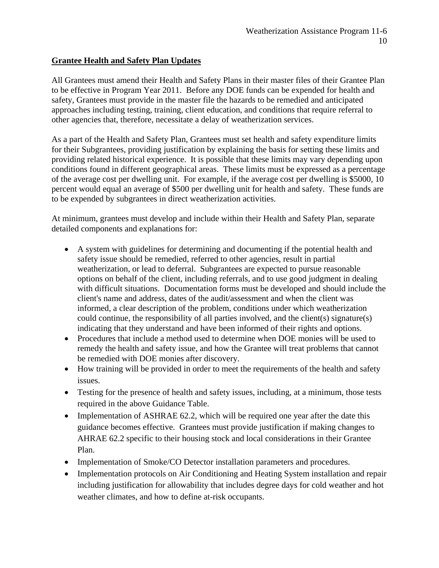## **Grantee Health and Safety Plan Updates**

All Grantees must amend their Health and Safety Plans in their master files of their Grantee Plan to be effective in Program Year 2011. Before any DOE funds can be expended for health and safety, Grantees must provide in the master file the hazards to be remedied and anticipated approaches including testing, training, client education, and conditions that require referral to other agencies that, therefore, necessitate a delay of weatherization services.

As a part of the Health and Safety Plan, Grantees must set health and safety expenditure limits for their Subgrantees, providing justification by explaining the basis for setting these limits and providing related historical experience. It is possible that these limits may vary depending upon conditions found in different geographical areas. These limits must be expressed as a percentage of the average cost per dwelling unit. For example, if the average cost per dwelling is \$5000, 10 percent would equal an average of \$500 per dwelling unit for health and safety. These funds are to be expended by subgrantees in direct weatherization activities.

At minimum, grantees must develop and include within their Health and Safety Plan, separate detailed components and explanations for:

- A system with guidelines for determining and documenting if the potential health and safety issue should be remedied, referred to other agencies, result in partial weatherization, or lead to deferral. Subgrantees are expected to pursue reasonable options on behalf of the client, including referrals, and to use good judgment in dealing with difficult situations. Documentation forms must be developed and should include the client's name and address, dates of the audit/assessment and when the client was informed, a clear description of the problem, conditions under which weatherization could continue, the responsibility of all parties involved, and the client(s) signature(s) indicating that they understand and have been informed of their rights and options.
- Procedures that include a method used to determine when DOE monies will be used to remedy the health and safety issue, and how the Grantee will treat problems that cannot be remedied with DOE monies after discovery.
- How training will be provided in order to meet the requirements of the health and safety issues.
- Testing for the presence of health and safety issues, including, at a minimum, those tests required in the above Guidance Table.
- Implementation of ASHRAE 62.2, which will be required one year after the date this guidance becomes effective. Grantees must provide justification if making changes to AHRAE 62.2 specific to their housing stock and local considerations in their Grantee Plan.
- Implementation of Smoke/CO Detector installation parameters and procedures.
- Implementation protocols on Air Conditioning and Heating System installation and repair including justification for allowability that includes degree days for cold weather and hot weather climates, and how to define at-risk occupants.